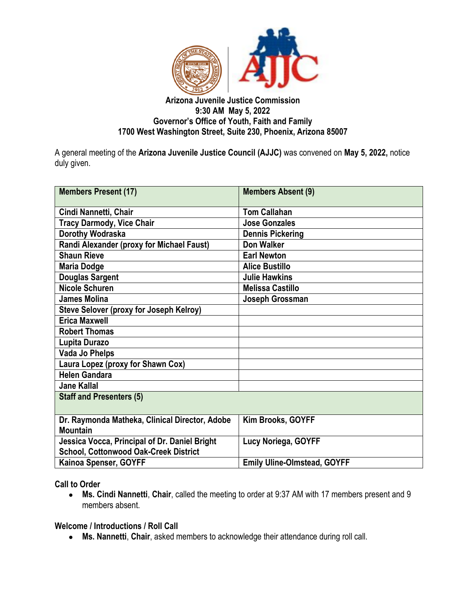

### **Arizona Juvenile Justice Commission 9:30 AM May 5, 2022 Governor's Office of Youth, Faith and Family 1700 West Washington Street, Suite 230, Phoenix, Arizona 85007**

A general meeting of the **Arizona Juvenile Justice Council (AJJC)** was convened on **May 5, 2022,** notice duly given.

| <b>Members Present (17)</b>                                                                   | <b>Members Absent (9)</b>          |
|-----------------------------------------------------------------------------------------------|------------------------------------|
| Cindi Nannetti, Chair                                                                         | <b>Tom Callahan</b>                |
| <b>Tracy Darmody, Vice Chair</b>                                                              | <b>Jose Gonzales</b>               |
| Dorothy Wodraska                                                                              | <b>Dennis Pickering</b>            |
| Randi Alexander (proxy for Michael Faust)                                                     | <b>Don Walker</b>                  |
| <b>Shaun Rieve</b>                                                                            | <b>Earl Newton</b>                 |
| <b>Maria Dodge</b>                                                                            | <b>Alice Bustillo</b>              |
| <b>Douglas Sargent</b>                                                                        | <b>Julie Hawkins</b>               |
| <b>Nicole Schuren</b>                                                                         | <b>Melissa Castillo</b>            |
| <b>James Molina</b>                                                                           | Joseph Grossman                    |
| <b>Steve Selover (proxy for Joseph Kelroy)</b>                                                |                                    |
| <b>Erica Maxwell</b>                                                                          |                                    |
| <b>Robert Thomas</b>                                                                          |                                    |
| Lupita Durazo                                                                                 |                                    |
| Vada Jo Phelps                                                                                |                                    |
| Laura Lopez (proxy for Shawn Cox)                                                             |                                    |
| <b>Helen Gandara</b>                                                                          |                                    |
| <b>Jane Kallal</b>                                                                            |                                    |
| <b>Staff and Presenters (5)</b>                                                               |                                    |
| Dr. Raymonda Matheka, Clinical Director, Adobe<br><b>Mountain</b>                             | Kim Brooks, GOYFF                  |
| Jessica Vocca, Principal of Dr. Daniel Bright<br><b>School, Cottonwood Oak-Creek District</b> | Lucy Noriega, GOYFF                |
| Kainoa Spenser, GOYFF                                                                         | <b>Emily Uline-Olmstead, GOYFF</b> |

**Call to Order**

● **Ms. Cindi Nannetti**, **Chair**, called the meeting to order at 9:37 AM with 17 members present and 9 members absent.

**Welcome / Introductions / Roll Call**

● **Ms. Nannetti**, **Chair**, asked members to acknowledge their attendance during roll call.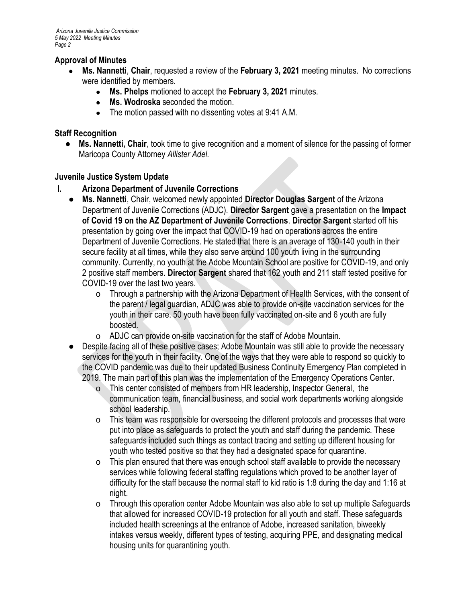## **Approval of Minutes**

- **Ms. Nannetti, Chair, requested a review of the February 3, 2021 meeting minutes. No corrections** were identified by members.
	- **Ms. Phelps** motioned to accept the **February 3, 2021** minutes.
	- **Ms. Wodroska** seconded the motion.
	- The motion passed with no dissenting votes at 9:41 A.M.

### **Staff Recognition**

● **Ms. Nannetti, Chair**, took time to give recognition and a moment of silence for the passing of former Maricopa County Attorney *Allister Adel.*

### **Juvenile Justice System Update**

- **I. Arizona Department of Juvenile Corrections**
	- **Ms. Nannetti**, Chair, welcomed newly appointed **Director Douglas Sargent** of the Arizona Department of Juvenile Corrections (ADJC). **Director Sargent** gave a presentation on the **Impact of Covid 19 on the AZ Department of Juvenile Corrections**. **Director Sargent** started off his presentation by going over the impact that COVID-19 had on operations across the entire Department of Juvenile Corrections. He stated that there is an average of 130-140 youth in their secure facility at all times, while they also serve around 100 youth living in the surrounding community. Currently, no youth at the Adobe Mountain School are positive for COVID-19, and only 2 positive staff members. **Director Sargent** shared that 162 youth and 211 staff tested positive for COVID-19 over the last two years.
		- o Through a partnership with the Arizona Department of Health Services, with the consent of the parent / legal guardian, ADJC was able to provide on-site vaccination services for the youth in their care. 50 youth have been fully vaccinated on-site and 6 youth are fully boosted.
		- o ADJC can provide on-site vaccination for the staff of Adobe Mountain.
	- Despite facing all of these positive cases; Adobe Mountain was still able to provide the necessary services for the youth in their facility. One of the ways that they were able to respond so quickly to the COVID pandemic was due to their updated Business Continuity Emergency Plan completed in 2019. The main part of this plan was the implementation of the Emergency Operations Center.
		- o This center consisted of members from HR leadership, Inspector General, the communication team, financial business, and social work departments working alongside school leadership.
		- o This team was responsible for overseeing the different protocols and processes that were put into place as safeguards to protect the youth and staff during the pandemic. These safeguards included such things as contact tracing and setting up different housing for youth who tested positive so that they had a designated space for quarantine.
		- o This plan ensured that there was enough school staff available to provide the necessary services while following federal staffing regulations which proved to be another layer of difficulty for the staff because the normal staff to kid ratio is 1:8 during the day and 1:16 at night.
		- o Through this operation center Adobe Mountain was also able to set up multiple Safeguards that allowed for increased COVID-19 protection for all youth and staff. These safeguards included health screenings at the entrance of Adobe, increased sanitation, biweekly intakes versus weekly, different types of testing, acquiring PPE, and designating medical housing units for quarantining youth.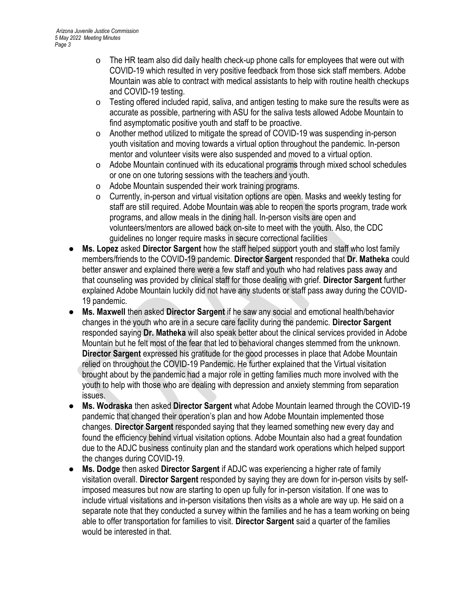- o The HR team also did daily health check-up phone calls for employees that were out with COVID-19 which resulted in very positive feedback from those sick staff members. Adobe Mountain was able to contract with medical assistants to help with routine health checkups and COVID-19 testing.
- o Testing offered included rapid, saliva, and antigen testing to make sure the results were as accurate as possible, partnering with ASU for the saliva tests allowed Adobe Mountain to find asymptomatic positive youth and staff to be proactive.
- o Another method utilized to mitigate the spread of COVID-19 was suspending in-person youth visitation and moving towards a virtual option throughout the pandemic. In-person mentor and volunteer visits were also suspended and moved to a virtual option.
- o Adobe Mountain continued with its educational programs through mixed school schedules or one on one tutoring sessions with the teachers and youth.
- o Adobe Mountain suspended their work training programs.
- o Currently, in-person and virtual visitation options are open. Masks and weekly testing for staff are still required. Adobe Mountain was able to reopen the sports program, trade work programs, and allow meals in the dining hall. In-person visits are open and volunteers/mentors are allowed back on-site to meet with the youth. Also, the CDC guidelines no longer require masks in secure correctional facilities
- **Ms. Lopez** asked **Director Sargent** how the staff helped support youth and staff who lost family members/friends to the COVID-19 pandemic. **Director Sargent** responded that **Dr. Matheka** could better answer and explained there were a few staff and youth who had relatives pass away and that counseling was provided by clinical staff for those dealing with grief. **Director Sargent** further explained Adobe Mountain luckily did not have any students or staff pass away during the COVID-19 pandemic.
- **Ms. Maxwell then asked Director Sargent** if he saw any social and emotional health/behavior changes in the youth who are in a secure care facility during the pandemic. **Director Sargent**  responded saying **Dr. Matheka** will also speak better about the clinical services provided in Adobe Mountain but he felt most of the fear that led to behavioral changes stemmed from the unknown. **Director Sargent** expressed his gratitude for the good processes in place that Adobe Mountain relied on throughout the COVID-19 Pandemic. He further explained that the Virtual visitation brought about by the pandemic had a major role in getting families much more involved with the youth to help with those who are dealing with depression and anxiety stemming from separation issues.
- **Ms. Wodraska** then asked **Director Sargent** what Adobe Mountain learned through the COVID-19 pandemic that changed their operation's plan and how Adobe Mountain implemented those changes. **Director Sargent** responded saying that they learned something new every day and found the efficiency behind virtual visitation options. Adobe Mountain also had a great foundation due to the ADJC business continuity plan and the standard work operations which helped support the changes during COVID-19.
- **Ms. Dodge** then asked **Director Sargent** if ADJC was experiencing a higher rate of family visitation overall. **Director Sargent** responded by saying they are down for in-person visits by selfimposed measures but now are starting to open up fully for in-person visitation. If one was to include virtual visitations and in-person visitations then visits as a whole are way up. He said on a separate note that they conducted a survey within the families and he has a team working on being able to offer transportation for families to visit. **Director Sargent** said a quarter of the families would be interested in that.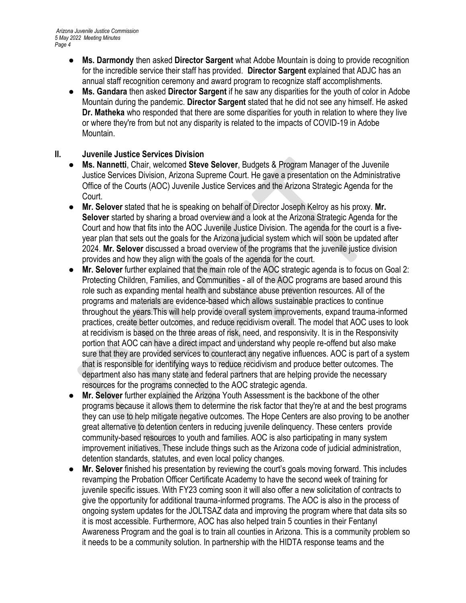- **Ms. Darmondy** then asked **Director Sargent** what Adobe Mountain is doing to provide recognition for the incredible service their staff has provided. **Director Sargent** explained that ADJC has an annual staff recognition ceremony and award program to recognize staff accomplishments.
- **Ms. Gandara** then asked **Director Sargent** if he saw any disparities for the youth of color in Adobe Mountain during the pandemic. **Director Sargent** stated that he did not see any himself. He asked **Dr. Matheka** who responded that there are some disparities for youth in relation to where they live or where they're from but not any disparity is related to the impacts of COVID-19 in Adobe Mountain.

### **II. Juvenile Justice Services Division**

- **Ms. Nannetti**, Chair, welcomed **Steve Selover**, Budgets & Program Manager of the Juvenile Justice Services Division, Arizona Supreme Court. He gave a presentation on the Administrative Office of the Courts (AOC) Juvenile Justice Services and the Arizona Strategic Agenda for the Court.
- **Mr. Selover** stated that he is speaking on behalf of Director Joseph Kelroy as his proxy. Mr. **Selover** started by sharing a broad overview and a look at the Arizona Strategic Agenda for the Court and how that fits into the AOC Juvenile Justice Division. The agenda for the court is a fiveyear plan that sets out the goals for the Arizona judicial system which will soon be updated after 2024. **Mr. Selover** discussed a broad overview of the programs that the juvenile justice division provides and how they align with the goals of the agenda for the court.
- **Mr. Selover** further explained that the main role of the AOC strategic agenda is to focus on Goal 2: Protecting Children, Families, and Communities - all of the AOC programs are based around this role such as expanding mental health and substance abuse prevention resources. All of the programs and materials are evidence-based which allows sustainable practices to continue throughout the years.This will help provide overall system improvements, expand trauma-informed practices, create better outcomes, and reduce recidivism overall. The model that AOC uses to look at recidivism is based on the three areas of risk, need, and responsivity. It is in the Responsivity portion that AOC can have a direct impact and understand why people re-offend but also make sure that they are provided services to counteract any negative influences. AOC is part of a system that is responsible for identifying ways to reduce recidivism and produce better outcomes. The department also has many state and federal partners that are helping provide the necessary resources for the programs connected to the AOC strategic agenda.
- **Mr. Selover** further explained the Arizona Youth Assessment is the backbone of the other programs because it allows them to determine the risk factor that they're at and the best programs they can use to help mitigate negative outcomes. The Hope Centers are also proving to be another great alternative to detention centers in reducing juvenile delinquency. These centers provide community-based resources to youth and families. AOC is also participating in many system improvement initiatives. These include things such as the Arizona code of judicial administration, detention standards, statutes, and even local policy changes.
- **Mr. Selover** finished his presentation by reviewing the court's goals moving forward. This includes revamping the Probation Officer Certificate Academy to have the second week of training for juvenile specific issues. With FY23 coming soon it will also offer a new solicitation of contracts to give the opportunity for additional trauma-informed programs. The AOC is also in the process of ongoing system updates for the JOLTSAZ data and improving the program where that data sits so it is most accessible. Furthermore, AOC has also helped train 5 counties in their Fentanyl Awareness Program and the goal is to train all counties in Arizona. This is a community problem so it needs to be a community solution. In partnership with the HIDTA response teams and the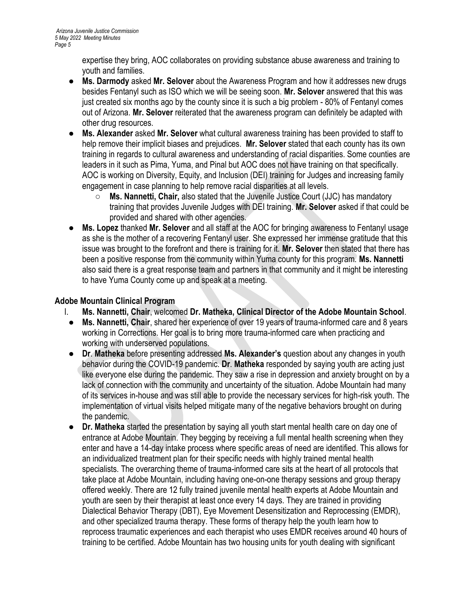expertise they bring, AOC collaborates on providing substance abuse awareness and training to youth and families.

- **Ms. Darmody** asked **Mr. Selover** about the Awareness Program and how it addresses new drugs besides Fentanyl such as ISO which we will be seeing soon. **Mr. Selover** answered that this was just created six months ago by the county since it is such a big problem - 80% of Fentanyl comes out of Arizona. **Mr. Selover** reiterated that the awareness program can definitely be adapted with other drug resources.
- **Ms. Alexander** asked **Mr. Selover** what cultural awareness training has been provided to staff to help remove their implicit biases and prejudices. **Mr. Selover** stated that each county has its own training in regards to cultural awareness and understanding of racial disparities. Some counties are leaders in it such as Pima, Yuma, and Pinal but AOC does not have training on that specifically. AOC is working on Diversity, Equity, and Inclusion (DEI) training for Judges and increasing family engagement in case planning to help remove racial disparities at all levels.
	- **Ms. Nannetti, Chair,** also stated that the Juvenile Justice Court (JJC) has mandatory training that provides Juvenile Judges with DEI training. **Mr. Selover** asked if that could be provided and shared with other agencies.
- **Ms. Lopez** thanked Mr. Selover and all staff at the AOC for bringing awareness to Fentanyl usage as she is the mother of a recovering Fentanyl user. She expressed her immense gratitude that this issue was brought to the forefront and there is training for it. **Mr. Selover** then stated that there has been a positive response from the community within Yuma county for this program. **Ms. Nannetti** also said there is a great response team and partners in that community and it might be interesting to have Yuma County come up and speak at a meeting.

### **Adobe Mountain Clinical Program**

- I. **Ms. Nannetti, Chair**, welcomed **Dr. Matheka, Clinical Director of the Adobe Mountain School**.
	- **Ms. Nannetti, Chair**, shared her experience of over 19 years of trauma-informed care and 8 years working in Corrections. Her goal is to bring more trauma-informed care when practicing and working with underserved populations.
	- **Dr**. **Matheka** before presenting addressed **Ms. Alexander's** question about any changes in youth behavior during the COVID-19 pandemic. **Dr**. **Matheka** responded by saying youth are acting just like everyone else during the pandemic. They saw a rise in depression and anxiety brought on by a lack of connection with the community and uncertainty of the situation. Adobe Mountain had many of its services in-house and was still able to provide the necessary services for high-risk youth. The implementation of virtual visits helped mitigate many of the negative behaviors brought on during the pandemic.
	- **Dr. Matheka** started the presentation by saying all youth start mental health care on day one of entrance at Adobe Mountain. They begging by receiving a full mental health screening when they enter and have a 14-day intake process where specific areas of need are identified. This allows for an individualized treatment plan for their specific needs with highly trained mental health specialists. The overarching theme of trauma-informed care sits at the heart of all protocols that take place at Adobe Mountain, including having one-on-one therapy sessions and group therapy offered weekly. There are 12 fully trained juvenile mental health experts at Adobe Mountain and youth are seen by their therapist at least once every 14 days. They are trained in providing Dialectical Behavior Therapy (DBT), Eye Movement Desensitization and Reprocessing (EMDR), and other specialized trauma therapy. These forms of therapy help the youth learn how to reprocess traumatic experiences and each therapist who uses EMDR receives around 40 hours of training to be certified. Adobe Mountain has two housing units for youth dealing with significant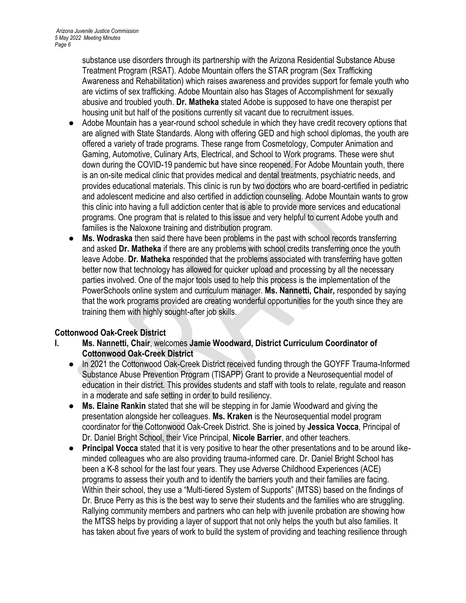substance use disorders through its partnership with the Arizona Residential Substance Abuse Treatment Program (RSAT). Adobe Mountain offers the STAR program (Sex Trafficking Awareness and Rehabilitation) which raises awareness and provides support for female youth who are victims of sex trafficking. Adobe Mountain also has Stages of Accomplishment for sexually abusive and troubled youth. **Dr. Matheka** stated Adobe is supposed to have one therapist per housing unit but half of the positions currently sit vacant due to recruitment issues.

- Adobe Mountain has a year-round school schedule in which they have credit recovery options that are aligned with State Standards. Along with offering GED and high school diplomas, the youth are offered a variety of trade programs. These range from Cosmetology, Computer Animation and Gaming, Automotive, Culinary Arts, Electrical, and School to Work programs. These were shut down during the COVID-19 pandemic but have since reopened. For Adobe Mountain youth, there is an on-site medical clinic that provides medical and dental treatments, psychiatric needs, and provides educational materials. This clinic is run by two doctors who are board-certified in pediatric and adolescent medicine and also certified in addiction counseling. Adobe Mountain wants to grow this clinic into having a full addiction center that is able to provide more services and educational programs. One program that is related to this issue and very helpful to current Adobe youth and families is the Naloxone training and distribution program.
- **Ms. Wodraska** then said there have been problems in the past with school records transferring and asked **Dr. Matheka** if there are any problems with school credits transferring once the youth leave Adobe. **Dr. Matheka** responded that the problems associated with transferring have gotten better now that technology has allowed for quicker upload and processing by all the necessary parties involved. One of the major tools used to help this process is the implementation of the PowerSchools online system and curriculum manager. **Ms. Nannetti, Chair,** responded by saying that the work programs provided are creating wonderful opportunities for the youth since they are training them with highly sought-after job skills.

# **Cottonwood Oak-Creek District**

- **I. Ms. Nannetti, Chair**, welcomes **Jamie Woodward, District Curriculum Coordinator of Cottonwood Oak-Creek District**
	- In 2021 the Cottonwood Oak-Creek District received funding through the GOYFF Trauma-Informed Substance Abuse Prevention Program (TISAPP) Grant to provide a Neurosequential model of education in their district. This provides students and staff with tools to relate, regulate and reason in a moderate and safe setting in order to build resiliency.
	- **Ms. Elaine Rankin** stated that she will be stepping in for Jamie Woodward and giving the presentation alongside her colleagues. **Ms. Kraken** is the Neurosequential model program coordinator for the Cottonwood Oak-Creek District. She is joined by **Jessica Vocca**, Principal of Dr. Daniel Bright School, their Vice Principal, **Nicole Barrier**, and other teachers.
	- **Principal Vocca** stated that it is very positive to hear the other presentations and to be around likeminded colleagues who are also providing trauma-informed care. Dr. Daniel Bright School has been a K-8 school for the last four years. They use Adverse Childhood Experiences (ACE) programs to assess their youth and to identify the barriers youth and their families are facing. Within their school, they use a "Multi-tiered System of Supports" (MTSS) based on the findings of Dr. Bruce Perry as this is the best way to serve their students and the families who are struggling. Rallying community members and partners who can help with juvenile probation are showing how the MTSS helps by providing a layer of support that not only helps the youth but also families. It has taken about five years of work to build the system of providing and teaching resilience through